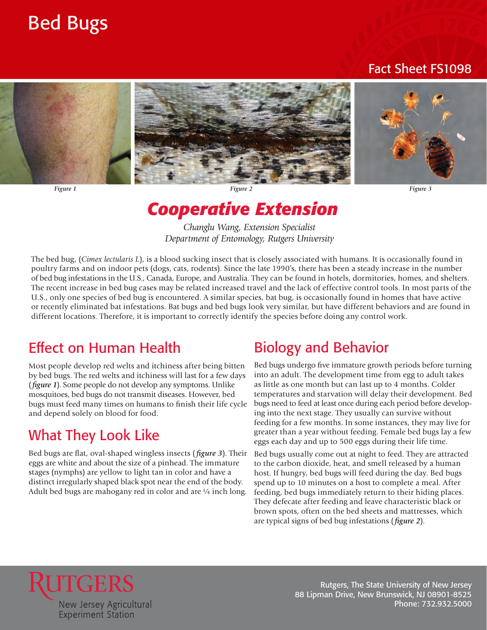## Bed Bugs

#### Fact Sheet FS1098



*Figure 1 Figure 2 Figure 3* 

## *Cooperative Extension*



 of bed bug infestations in the U.S., Canada, Europe, and Australia. They can be found in hotels, dormitories, homes, and shelters. The bed bug, (*Cimex lectularis L*), is a blood sucking insect that is closely associated with humans. It is occasionally found in poultry farms and on indoor pets (dogs, cats, rodents). Since the late 1990's, there has been a steady increase in the number The recent increase in bed bug cases may be related increased travel and the lack of effective control tools. In most parts of the U.S., only one species of bed bug is encountered. A similar species, bat bug, is occasionally found in homes that have active or recently eliminated bat infestations. Bat bugs and bed bugs look very similar, but have different behaviors and are found in different locations. Therefore, it is important to correctly identify the species before doing any control work.

### Effect on Human Health

 by bed bugs. The red welts and itchiness will last for a few days (*figure 1*). Some people do not develop any symptoms. Unlike mosquitoes, bed bugs do not transmit diseases. However, bed bugs must feed many times on humans to finish their life cycle Most people develop red welts and itchiness after being bitten and depend solely on blood for food.

### What They Look Like

 eggs are white and about the size of a pinhead. The immature distinct irregularly shaped black spot near the end of the body. Adult bed bugs are mahogany red in color and are  $\frac{1}{4}$  inch long. Bed bugs are flat, oval-shaped wingless insects ( *figure 3*). Their stages (nymphs) are yellow to light tan in color and have a

#### Biology and Behavior

 Bed bugs undergo five immature growth periods before turning bugs need to feed at least once during each period before developinto an adult. The development time from egg to adult takes as little as one month but can last up to 4 months. Colder temperatures and starvation will delay their development. Bed ing into the next stage. They usually can sur vive without feeding for a few months. In some instances, they may live for greater than a year without feeding. Female bed bugs lay a few eggs each day and up to 500 eggs during their life time.

 are typical signs of bed bug infestations ( *figure 2*). Bed bugs usually come out at night to feed. They are attracted to the carbon dioxide, heat, and smell released by a human host. If hungry, bed bugs will feed during the day. Bed bugs spend up to 10 minutes on a host to complete a meal. After feeding, bed bugs immediately return to their hiding places. They defecate after feeding and leave characteristic black or brown spots, often on the bed sheets and mattresses, which



Rutgers, The State University of New Jersey 88 Lipman Drive, New Brunswick, NJ 08901-8525 Phone: 732.932.5000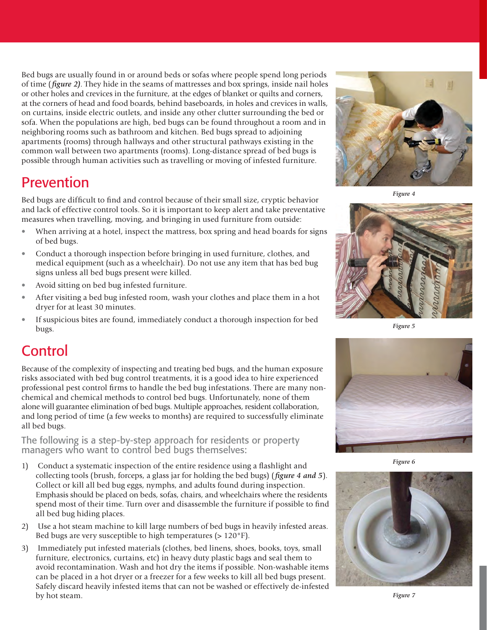of time ( *figure 2)*. They hide in the seams of mattresses and box springs, inside nail holes or other holes and crevices in the furniture, at the edges of blanket or quilts and corners, at the corners of head and food boards, behind baseboards, in holes and crevices in walls, Bed bugs are usually found in or around beds or sofas where people spend long periods on curtains, inside electric outlets, and inside any other clutter surrounding the bed or sofa. When the populations are high, bed bugs can be found throughout a room and in neighboring rooms such as bathroom and kitchen. Bed bugs spread to adjoining apartments (rooms) through hallways and other structural pathways existing in the common wall between two apartments (rooms). Long-distance spread of bed bugs is possible through human activities such as travelling or moving of infested furniture.

#### Prevention

Bed bugs are difficult to find and control because of their small size, cryptic behavior and lack of effective control tools. So it is important to keep alert and take preventative measures when travelling, moving, and bringing in used furniture from outside:

- When arriving at a hotel, inspect the mattress, box spring and head boards for signs of bed bugs.
- Conduct a thorough inspection before bringing in used furniture, clothes, and medical equipment (such as a wheelchair). Do not use any item that has bed bug signs unless all bed bugs present were killed.
- Avoid sitting on bed bug infested furniture.
- After visiting a bed bug infested room, wash your clothes and place them in a hot dryer for at least 30 minutes.
- If suspicious bites are found, immediately conduct a thorough inspection for bed bugs.

#### Control

 Because of the complexity of inspecting and treating bed bugs, and the human exposure alone will guarantee elimination of bed bugs. Multiple approaches, resident collaboration, risks associated with bed bug control treatments, it is a good idea to hire experienced professional pest control firms to handle the bed bug infestations. There are many nonchemical and chemical methods to control bed bugs. Unfortunately, none of them and long period of time (a few weeks to months) are required to successfully eliminate all bed bugs.

The following is a step-by-step approach for residents or property managers who want to control bed bugs themselves:

- collecting tools (brush, forceps, a glass jar for holding the bed bugs) ( *figure 4 and 5*). Emphasis should be placed on beds, sofas, chairs, and wheelchairs where the residents 1) Conduct a systematic inspection of the entire residence using a flashlight and Collect or kill all bed bug eggs, nymphs, and adults found during inspection. spend most of their time. Turn over and disassemble the furniture if possible to find all bed bug hiding places.
- 2) Use a hot steam machine to kill large numbers of bed bugs in heavily infested areas. Bed bugs are very susceptible to high temperatures  $(>120°F)$ .
- Safely discard heavily infested items that can not be washed or effectively de-infested 3) Immediately put infested materials (clothes, bed linens, shoes, books, toys, small furniture, electronics, curtains, etc) in heavy duty plastic bags and seal them to avoid recontamination. Wash and hot dry the items if possible. Non-washable items can be placed in a hot dryer or a freezer for a few weeks to kill all bed bugs present. by hot steam.



*Figure 4* 



*Figure 5* 



*Figure 6* 



*Figure 7*